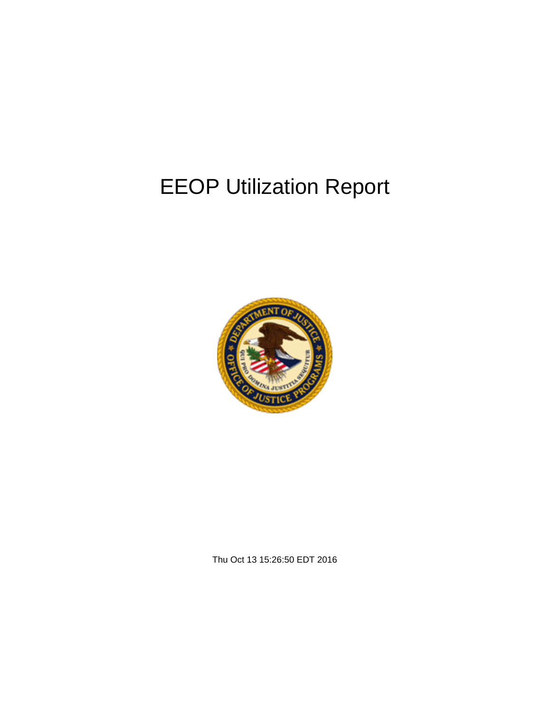# EEOP Utilization Report



Thu Oct 13 15:26:50 EDT 2016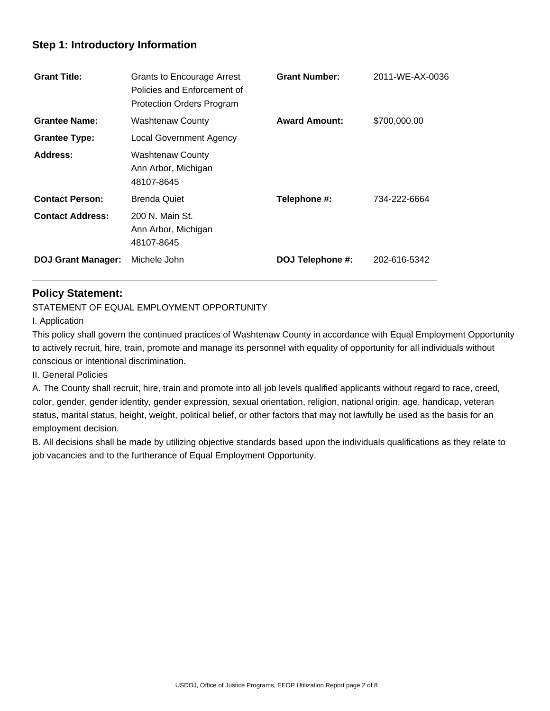# **Step 1: Introductory Information**

| <b>Grant Title:</b>       | <b>Grants to Encourage Arrest</b><br>Policies and Enforcement of<br><b>Protection Orders Program</b> | <b>Grant Number:</b> | 2011-WE-AX-0036 |
|---------------------------|------------------------------------------------------------------------------------------------------|----------------------|-----------------|
| <b>Grantee Name:</b>      | <b>Washtenaw County</b>                                                                              | <b>Award Amount:</b> | \$700,000.00    |
| <b>Grantee Type:</b>      | <b>Local Government Agency</b>                                                                       |                      |                 |
| Address:                  | <b>Washtenaw County</b><br>Ann Arbor, Michigan<br>48107-8645                                         |                      |                 |
| <b>Contact Person:</b>    | <b>Brenda Quiet</b>                                                                                  | Telephone #:         | 734-222-6664    |
| <b>Contact Address:</b>   | 200 N. Main St.<br>Ann Arbor, Michigan<br>48107-8645                                                 |                      |                 |
| <b>DOJ Grant Manager:</b> | Michele John                                                                                         | DOJ Telephone #:     | 202-616-5342    |

## **Policy Statement:**

STATEMENT OF EQUAL EMPLOYMENT OPPORTUNITY

I. Application

 $\overline{a}$ 

This policy shall govern the continued practices of Washtenaw County in accordance with Equal Employment Opportunity to actively recruit, hire, train, promote and manage its personnel with equality of opportunity for all individuals without conscious or intentional discrimination.

II. General Policies

A. The County shall recruit, hire, train and promote into all job levels qualified applicants without regard to race, creed, color, gender, gender identity, gender expression, sexual orientation, religion, national origin, age, handicap, veteran status, marital status, height, weight, political belief, or other factors that may not lawfully be used as the basis for an employment decision.

B. All decisions shall be made by utilizing objective standards based upon the individuals qualifications as they relate to job vacancies and to the furtherance of Equal Employment Opportunity.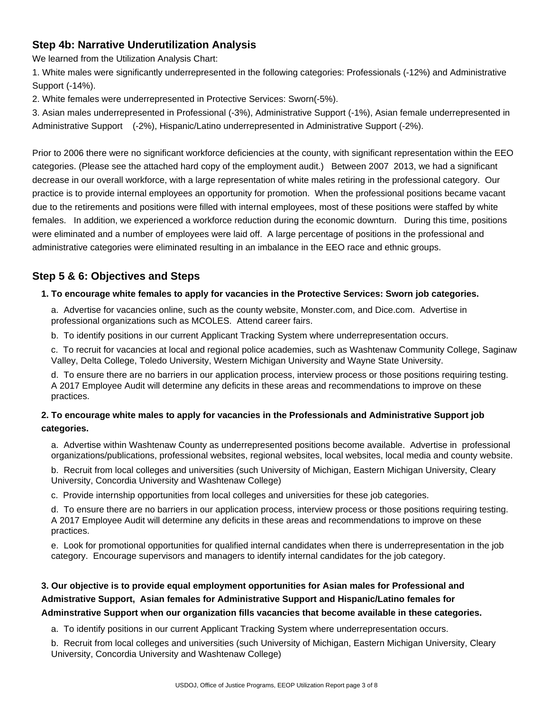# **Step 4b: Narrative Underutilization Analysis**

We learned from the Utilization Analysis Chart:

1. White males were significantly underrepresented in the following categories: Professionals (-12%) and Administrative Support (-14%).

2. White females were underrepresented in Protective Services: Sworn(-5%).

3. Asian males underrepresented in Professional (-3%), Administrative Support (-1%), Asian female underrepresented in Administrative Support (-2%), Hispanic/Latino underrepresented in Administrative Support (-2%).

Prior to 2006 there were no significant workforce deficiencies at the county, with significant representation within the EEO categories. (Please see the attached hard copy of the employment audit.) Between 2007 2013, we had a significant decrease in our overall workforce, with a large representation of white males retiring in the professional category. Our practice is to provide internal employees an opportunity for promotion. When the professional positions became vacant due to the retirements and positions were filled with internal employees, most of these positions were staffed by white females. In addition, we experienced a workforce reduction during the economic downturn. During this time, positions were eliminated and a number of employees were laid off. A large percentage of positions in the professional and administrative categories were eliminated resulting in an imbalance in the EEO race and ethnic groups.

# **Step 5 & 6: Objectives and Steps**

### **1. To encourage white females to apply for vacancies in the Protective Services: Sworn job categories.**

a. Advertise for vacancies online, such as the county website, Monster.com, and Dice.com. Advertise in professional organizations such as MCOLES. Attend career fairs.

b. To identify positions in our current Applicant Tracking System where underrepresentation occurs.

c. To recruit for vacancies at local and regional police academies, such as Washtenaw Community College, Saginaw Valley, Delta College, Toledo University, Western Michigan University and Wayne State University.

d. To ensure there are no barriers in our application process, interview process or those positions requiring testing. A 2017 Employee Audit will determine any deficits in these areas and recommendations to improve on these practices.

### **2. To encourage white males to apply for vacancies in the Professionals and Administrative Support job categories.**

a. Advertise within Washtenaw County as underrepresented positions become available. Advertise in professional organizations/publications, professional websites, regional websites, local websites, local media and county website.

b. Recruit from local colleges and universities (such University of Michigan, Eastern Michigan University, Cleary University, Concordia University and Washtenaw College)

c. Provide internship opportunities from local colleges and universities for these job categories.

d. To ensure there are no barriers in our application process, interview process or those positions requiring testing. A 2017 Employee Audit will determine any deficits in these areas and recommendations to improve on these practices.

e. Look for promotional opportunities for qualified internal candidates when there is underrepresentation in the job category. Encourage supervisors and managers to identify internal candidates for the job category.

# **3. Our objective is to provide equal employment opportunities for Asian males for Professional and Admistrative Support, Asian females for Administrative Support and Hispanic/Latino females for Adminstrative Support when our organization fills vacancies that become available in these categories.**

a. To identify positions in our current Applicant Tracking System where underrepresentation occurs.

b. Recruit from local colleges and universities (such University of Michigan, Eastern Michigan University, Cleary University, Concordia University and Washtenaw College)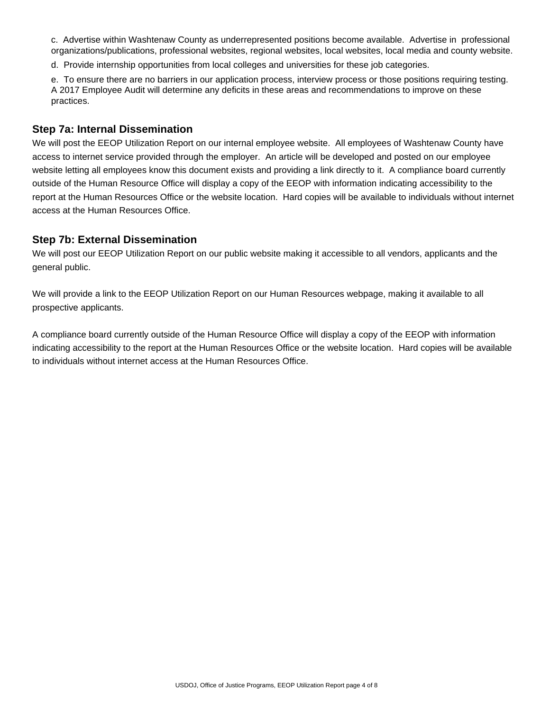c. Advertise within Washtenaw County as underrepresented positions become available. Advertise in professional organizations/publications, professional websites, regional websites, local websites, local media and county website.

d. Provide internship opportunities from local colleges and universities for these job categories.

e. To ensure there are no barriers in our application process, interview process or those positions requiring testing. A 2017 Employee Audit will determine any deficits in these areas and recommendations to improve on these practices.

#### **Step 7a: Internal Dissemination**

We will post the EEOP Utilization Report on our internal employee website. All employees of Washtenaw County have access to internet service provided through the employer. An article will be developed and posted on our employee website letting all employees know this document exists and providing a link directly to it. A compliance board currently outside of the Human Resource Office will display a copy of the EEOP with information indicating accessibility to the report at the Human Resources Office or the website location. Hard copies will be available to individuals without internet access at the Human Resources Office.

#### **Step 7b: External Dissemination**

We will post our EEOP Utilization Report on our public website making it accessible to all vendors, applicants and the general public.

We will provide a link to the EEOP Utilization Report on our Human Resources webpage, making it available to all prospective applicants.

A compliance board currently outside of the Human Resource Office will display a copy of the EEOP with information indicating accessibility to the report at the Human Resources Office or the website location. Hard copies will be available to individuals without internet access at the Human Resources Office.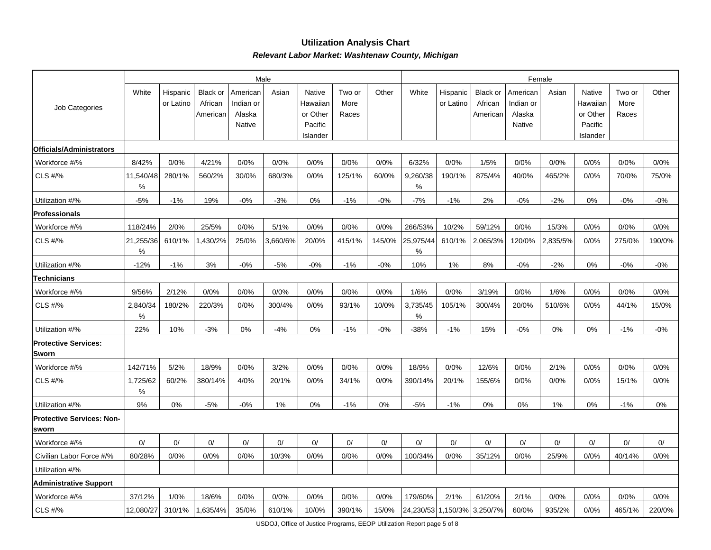#### **Utilization Analysis ChartRelevant Labor Market: Washtenaw County, Michigan**

|                                           |                |                       |                                 |                                           | Male     |                                           |                         | Female |                    |                       |                                 |                                           |          |                                           |                         |        |
|-------------------------------------------|----------------|-----------------------|---------------------------------|-------------------------------------------|----------|-------------------------------------------|-------------------------|--------|--------------------|-----------------------|---------------------------------|-------------------------------------------|----------|-------------------------------------------|-------------------------|--------|
| Job Categories                            | White          | Hispanic<br>or Latino | Black or<br>African<br>American | American<br>Indian or<br>Alaska<br>Native | Asian    | Native<br>Hawaiiar<br>or Other<br>Pacific | Two or<br>More<br>Races | Other  | White              | Hispanic<br>or Latino | Black or<br>African<br>American | American<br>Indian or<br>Alaska<br>Native | Asian    | Native<br>Hawaiian<br>or Other<br>Pacific | Two or<br>More<br>Races | Other  |
|                                           |                |                       |                                 |                                           |          | Islander                                  |                         |        |                    |                       |                                 |                                           |          | Islander                                  |                         |        |
| <b>Officials/Administrators</b>           |                |                       |                                 |                                           |          |                                           |                         |        |                    |                       |                                 |                                           |          |                                           |                         |        |
| Workforce #/%                             | 8/42%          | 0/0%                  | 4/21%                           | 0/0%                                      | 0/0%     | 0/0%                                      | 0/0%                    | 0/0%   | 6/32%              | 0/0%                  | 1/5%                            | 0/0%                                      | 0/0%     | 0/0%                                      | 0/0%                    | 0/0%   |
| CLS #/%                                   | 11,540/48<br>℅ | 280/1%                | 560/2%                          | 30/0%                                     | 680/3%   | 0/0%                                      | 125/1%                  | 60/0%  | 9,260/38<br>%      | 190/1%                | 875/4%                          | 40/0%                                     | 465/2%   | 0/0%                                      | 70/0%                   | 75/0%  |
| Utilization #/%                           | $-5%$          | $-1%$                 | 19%                             | $-0%$                                     | $-3%$    | 0%                                        | $-1%$                   | $-0%$  | $-7%$              | $-1%$                 | 2%                              | $-0%$                                     | $-2%$    | 0%                                        | $-0%$                   | $-0%$  |
| Professionals                             |                |                       |                                 |                                           |          |                                           |                         |        |                    |                       |                                 |                                           |          |                                           |                         |        |
| Workforce #/%                             | 118/24%        | 2/0%                  | 25/5%                           | 0/0%                                      | 5/1%     | 0/0%                                      | 0/0%                    | 0/0%   | 266/53%            | 10/2%                 | 59/12%                          | 0/0%                                      | 15/3%    | 0/0%                                      | 0/0%                    | 0/0%   |
| CLS #/%                                   | 21,255/36<br>℅ | 610/1%                | ,430/2%                         | 25/0%                                     | 3,660/6% | 20/0%                                     | 415/1%                  | 145/0% | 25,975/44<br>$\%$  | 610/1%                | 2,065/3%                        | 120/0%                                    | 2,835/5% | 0/0%                                      | 275/0%                  | 190/0% |
| Utilization #/%                           | $-12%$         | $-1%$                 | 3%                              | $-0%$                                     | $-5%$    | $-0%$                                     | $-1%$                   | $-0%$  | 10%                | 1%                    | 8%                              | $-0%$                                     | $-2%$    | 0%                                        | $-0%$                   | $-0%$  |
| Technicians                               |                |                       |                                 |                                           |          |                                           |                         |        |                    |                       |                                 |                                           |          |                                           |                         |        |
| Workforce #/%                             | 9/56%          | 2/12%                 | 0/0%                            | 0/0%                                      | 0/0%     | 0/0%                                      | 0/0%                    | 0/0%   | 1/6%               | 0/0%                  | 3/19%                           | 0/0%                                      | 1/6%     | 0/0%                                      | 0/0%                    | 0/0%   |
| CLS #/%                                   | 2,840/34<br>%  | 180/2%                | 220/3%                          | 0/0%                                      | 300/4%   | 0/0%                                      | 93/1%                   | 10/0%  | 3,735/45<br>%      | 105/1%                | 300/4%                          | 20/0%                                     | 510/6%   | 0/0%                                      | 44/1%                   | 15/0%  |
| Utilization #/%                           | 22%            | 10%                   | $-3%$                           | 0%                                        | $-4%$    | 0%                                        | $-1%$                   | $-0%$  | $-38%$             | $-1%$                 | 15%                             | $-0%$                                     | 0%       | 0%                                        | $-1%$                   | $-0\%$ |
| <b>Protective Services:</b><br>Sworn      |                |                       |                                 |                                           |          |                                           |                         |        |                    |                       |                                 |                                           |          |                                           |                         |        |
| Workforce #/%                             | 142/71%        | 5/2%                  | 18/9%                           | 0/0%                                      | 3/2%     | 0/0%                                      | 0/0%                    | 0/0%   | 18/9%              | 0/0%                  | 12/6%                           | 0/0%                                      | 2/1%     | 0/0%                                      | 0/0%                    | 0/0%   |
| <b>CLS #/%</b>                            | 1,725/62<br>℅  | 60/2%                 | 380/14%                         | 4/0%                                      | 20/1%    | 0/0%                                      | 34/1%                   | 0/0%   | 390/14%            | 20/1%                 | 155/6%                          | 0/0%                                      | 0/0%     | 0/0%                                      | 15/1%                   | 0/0%   |
| Utilization #/%                           | 9%             | 0%                    | $-5%$                           | $-0%$                                     | 1%       | 0%                                        | $-1%$                   | 0%     | $-5%$              | $-1%$                 | 0%                              | 0%                                        | 1%       | 0%                                        | $-1%$                   | 0%     |
| <b>Protective Services: Non-</b><br>sworn |                |                       |                                 |                                           |          |                                           |                         |        |                    |                       |                                 |                                           |          |                                           |                         |        |
| Workforce #/%                             | 0/             | 0/                    | 0/                              | 0/                                        | 0/       | 0/                                        | 0/                      | 0/     | 0/                 | 0/                    | 0/                              | 0/                                        | 0/       | 0/                                        | 0/                      | 0/     |
| Civilian Labor Force #/%                  | 80/28%         | 0/0%                  | 0/0%                            | 0/0%                                      | 10/3%    | 0/0%                                      | 0/0%                    | 0/0%   | 100/34%            | 0/0%                  | 35/12%                          | 0/0%                                      | 25/9%    | 0/0%                                      | 40/14%                  | 0/0%   |
| Utilization #/%                           |                |                       |                                 |                                           |          |                                           |                         |        |                    |                       |                                 |                                           |          |                                           |                         |        |
| <b>Administrative Support</b>             |                |                       |                                 |                                           |          |                                           |                         |        |                    |                       |                                 |                                           |          |                                           |                         |        |
| Workforce #/%                             | 37/12%         | 1/0%                  | 18/6%                           | 0/0%                                      | 0/0%     | 0/0%                                      | 0/0%                    | 0/0%   | 179/60%            | 2/1%                  | 61/20%                          | 2/1%                                      | 0/0%     | 0/0%                                      | 0/0%                    | 0/0%   |
| CLS #/%                                   | 12,080/27      | 310/1%                | 635/4%,                         | 35/0%                                     | 610/1%   | 10/0%                                     | 390/1%                  | 15/0%  | 24,230/53 1,150/3% |                       | 3,250/7%                        | 60/0%                                     | 935/2%   | 0/0%                                      | 465/1%                  | 220/0% |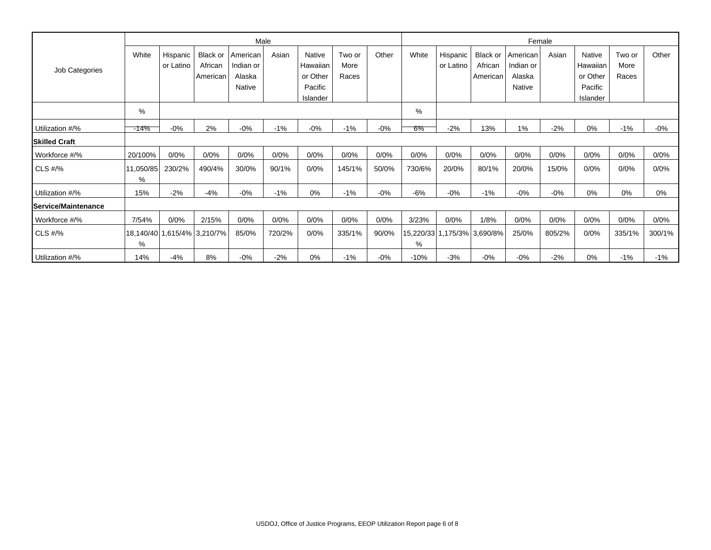|                      |                |                       |                             |                       | Male   |                     |                | Female |        |                       |                             |                       |        |                     |                |        |
|----------------------|----------------|-----------------------|-----------------------------|-----------------------|--------|---------------------|----------------|--------|--------|-----------------------|-----------------------------|-----------------------|--------|---------------------|----------------|--------|
|                      | White          | Hispanic<br>or Latino | Black or<br>African         | American<br>Indian or | Asian  | Native<br>Hawaiian  | Two or<br>More | Other  | White  | Hispanic<br>or Latino | Black or<br>African         | American<br>Indian or | Asian  | Native<br>Hawaiian  | Two or<br>More | Other  |
| Job Categories       |                |                       | American                    | Alaska                |        | or Other            | Races          |        |        |                       | American                    | Alaska                |        | or Other            | Races          |        |
|                      |                |                       |                             | Native                |        | Pacific<br>Islander |                |        |        |                       |                             | Native                |        | Pacific<br>Islander |                |        |
|                      | %              |                       |                             |                       |        |                     |                |        | %      |                       |                             |                       |        |                     |                |        |
| Utilization #/%      | -14%           | $-0%$                 | 2%                          | $-0%$                 | $-1%$  | $-0%$               | $-1%$          | $-0%$  | 6%     | $-2%$                 | 13%                         | 1%                    | $-2%$  | 0%                  | $-1%$          | $-0%$  |
| <b>Skilled Craft</b> |                |                       |                             |                       |        |                     |                |        |        |                       |                             |                       |        |                     |                |        |
| Workforce #/%        | 20/100%        | 0/0%                  | 0/0%                        | 0/0%                  | 0/0%   | 0/0%                | 0/0%           | 0/0%   | 0/0%   | 0/0%                  | 0/0%                        | 0/0%                  | 0/0%   | 0/0%                | 0/0%           | 0/0%   |
| CLS #/%              | 11,050/85<br>% | 230/2%                | 490/4%                      | 30/0%                 | 90/1%  | 0/0%                | 145/1%         | 50/0%  | 730/6% | 20/0%                 | 80/1%                       | 20/0%                 | 15/0%  | 0/0%                | 0/0%           | 0/0%   |
| Utilization #/%      | 15%            | $-2%$                 | $-4%$                       | $-0\%$                | $-1%$  | 0%                  | $-1%$          | $-0%$  | $-6%$  | $-0\%$                | $-1%$                       | $-0%$                 | $-0%$  | 0%                  | 0%             | 0%     |
| Service/Maintenance  |                |                       |                             |                       |        |                     |                |        |        |                       |                             |                       |        |                     |                |        |
| Workforce #/%        | 7/54%          | 0/0%                  | 2/15%                       | 0/0%                  | 0/0%   | 0/0%                | 0/0%           | 0/0%   | 3/23%  | 0/0%                  | 1/8%                        | 0/0%                  | 0/0%   | 0/0%                | 0/0%           | 0/0%   |
| CLS #/%              | %              |                       | 18,140/40 1,615/4% 3,210/7% | 85/0%                 | 720/2% | 0/0%                | 335/1%         | 90/0%  | %      |                       | 15,220/33 1,175/3% 3,690/8% | 25/0%                 | 805/2% | 0/0%                | 335/1%         | 300/1% |
| Utilization #/%      | 14%            | $-4%$                 | 8%                          | $-0%$                 | $-2%$  | 0%                  | $-1%$          | $-0%$  | $-10%$ | $-3%$                 | $-0%$                       | $-0%$                 | $-2%$  | 0%                  | $-1%$          | $-1\%$ |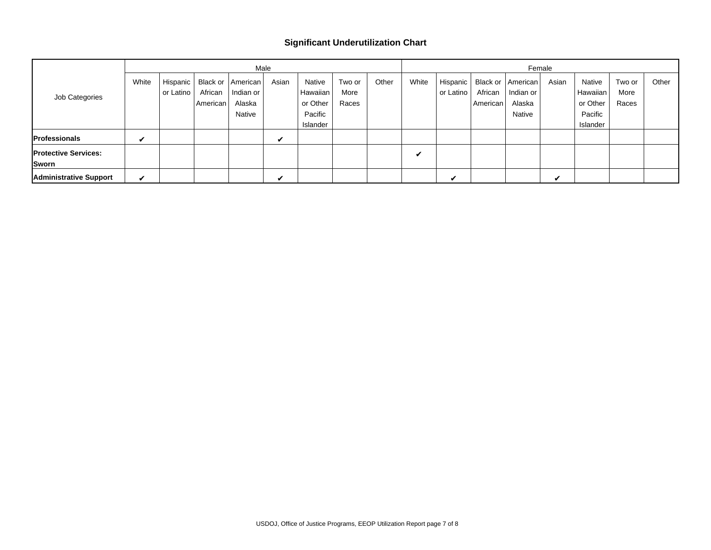#### **Significant Underutilization Chart**

|                                      |       |                         |                         |                                                        | Male  |                                                       |                         | Female |       |                         |                                 |                                           |                  |                                                       |                         |       |
|--------------------------------------|-------|-------------------------|-------------------------|--------------------------------------------------------|-------|-------------------------------------------------------|-------------------------|--------|-------|-------------------------|---------------------------------|-------------------------------------------|------------------|-------------------------------------------------------|-------------------------|-------|
| Job Categories                       | White | Hispanic  <br>or Latino | African<br>l American l | Black or   American  <br>Indian or<br>Alaska<br>Native | Asian | Native<br>Hawaiian<br>or Other<br>Pacific<br>Islander | Two or<br>More<br>Races | Other  | White | Hispanic  <br>or Latino | Black or<br>African<br>American | American<br>Indian or<br>Alaska<br>Native | Asian            | Native<br>Hawaiian<br>or Other<br>Pacific<br>Islander | Two or<br>More<br>Races | Other |
| <b>Professionals</b>                 | V     |                         |                         |                                                        | V     |                                                       |                         |        |       |                         |                                 |                                           |                  |                                                       |                         |       |
| <b>Protective Services:</b><br>Sworn |       |                         |                         |                                                        |       |                                                       |                         |        | V     |                         |                                 |                                           |                  |                                                       |                         |       |
| <b>Administrative Support</b>        | ✔     |                         |                         |                                                        | v     |                                                       |                         |        |       | v                       |                                 |                                           | $\overline{\nu}$ |                                                       |                         |       |